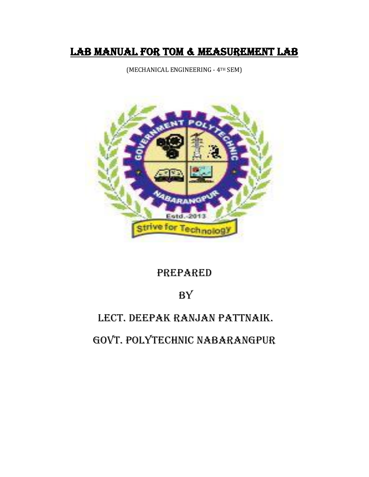# LAB MANUAL FOR TOM & MEASUREMENT LAB

(MECHANICAL ENGINEERING - 4TH SEM)



# PREPARED

# **BY**

# LECT. DEEPAK RANJAN PATTNAIK.

GOVT. POLYTECHNIC NABARANGPUR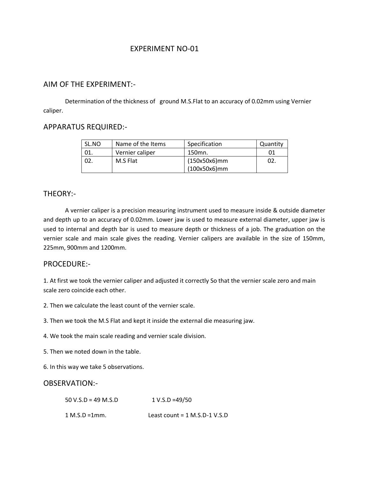## AIM OF THE EXPERIMENT:-

Determination of the thickness of ground M.S.Flat to an accuracy of 0.02mm using Vernier caliper.

# APPARATUS REQUIRED:-

| SL.NO | Name of the Items | Specification   | Quantity |
|-------|-------------------|-----------------|----------|
| - 01. | Vernier caliper   | 150mn.          | 01       |
| 02    | M.S Flat          | (150x50x6)mm    | 02.      |
|       |                   | $(100x50x6)$ mm |          |

## THEORY:-

A vernier caliper is a precision measuring instrument used to measure inside & outside diameter and depth up to an accuracy of 0.02mm. Lower jaw is used to measure external diameter, upper jaw is used to internal and depth bar is used to measure depth or thickness of a job. The graduation on the vernier scale and main scale gives the reading. Vernier calipers are available in the size of 150mm, 225mm, 900mm and 1200mm.

### PROCEDURE:-

1. At first we took the vernier caliper and adjusted it correctly So that the vernier scale zero and main scale zero coincide each other.

2. Then we calculate the least count of the vernier scale.

3. Then we took the M.S Flat and kept it inside the external die measuring jaw.

4. We took the main scale reading and vernier scale division.

5. Then we noted down in the table.

6. In this way we take 5 observations.

### OBSERVATION:-

 $50 \text{ V.S.D} = 49 \text{ M.S.D}$  1 V.S.D =49/50

1 M.S.D =1mm. Least count = 1 M.S.D-1 V.S.D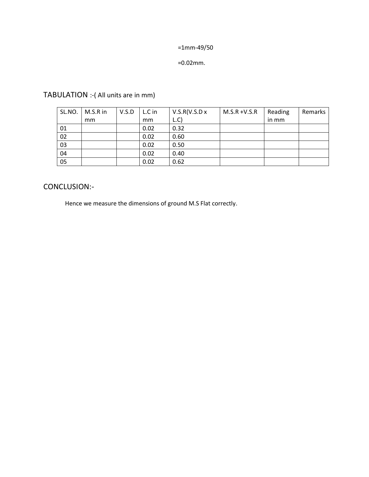=1mm-49/50

=0.02mm.

TABULATION :-( All units are in mm)

| SL.NO. | M.S.R in | V.S.D | L.C in | V.S.R(V.S.D x) | $M.S.R + V.S.R$ | Reading | Remarks |
|--------|----------|-------|--------|----------------|-----------------|---------|---------|
|        | mm       |       | mm     | L.C            |                 | in mm   |         |
| 01     |          |       | 0.02   | 0.32           |                 |         |         |
| 02     |          |       | 0.02   | 0.60           |                 |         |         |
| 03     |          |       | 0.02   | 0.50           |                 |         |         |
| 04     |          |       | 0.02   | 0.40           |                 |         |         |
| 05     |          |       | 0.02   | 0.62           |                 |         |         |

# CONCLUSION:-

Hence we measure the dimensions of ground M.S Flat correctly.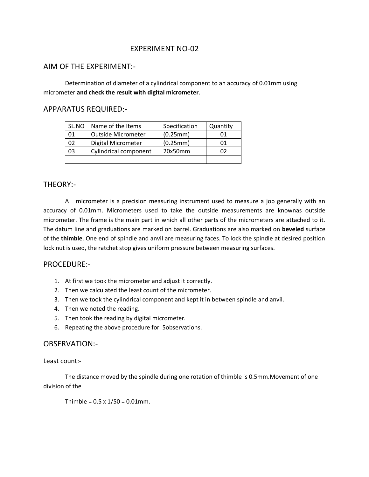## AIM OF THE EXPERIMENT:-

Determination of diameter of a cylindrical component to an accuracy of 0.01mm using micrometer **and check the result with digital micrometer**.

#### APPARATUS REQUIRED:-

| SL.NO | Name of the Items         | Specification | Quantity |
|-------|---------------------------|---------------|----------|
| 01    | <b>Outside Micrometer</b> | (0.25mm)      | OΤ       |
| 02    | Digital Micrometer        | (0.25mm)      | 01       |
| 03    | Cylindrical component     | 20x50mm       | 02       |
|       |                           |               |          |

### THEORY:-

A micrometer is a precision measuring instrument used to measure a job generally with an accuracy of 0.01mm. Micrometers used to take the outside measurements are knownas outside micrometer. The frame is the main part in which all other parts of the micrometers are attached to it. The datum line and graduations are marked on barrel. Graduations are also marked on **beveled** surface of the **thimble**. One end of spindle and anvil are measuring faces. To lock the spindle at desired position lock nut is used, the ratchet stop gives uniform pressure between measuring surfaces.

### PROCEDURE:-

- 1. At first we took the micrometer and adjust it correctly.
- 2. Then we calculated the least count of the micrometer.
- 3. Then we took the cylindrical component and kept it in between spindle and anvil.
- 4. Then we noted the reading.
- 5. Then took the reading by digital micrometer.
- 6. Repeating the above procedure for 5observations.

#### OBSERVATION:-

Least count:-

The distance moved by the spindle during one rotation of thimble is 0.5mm.Movement of one division of the

Thimble =  $0.5 \times 1/50 = 0.01$ mm.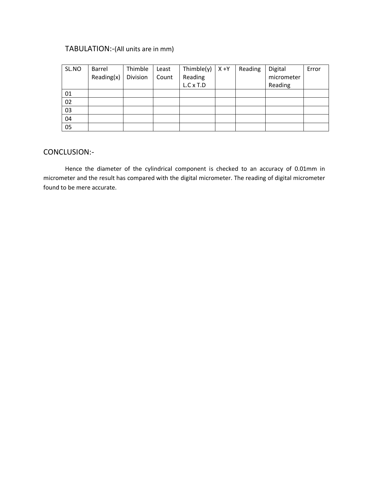# TABULATION:-(All units are in mm)

| SL.NO | Barrel     | Thimble  | Least | Thimble $(y)$ | $X + Y$ | Reading | Digital    | Error |
|-------|------------|----------|-------|---------------|---------|---------|------------|-------|
|       | Reading(x) | Division | Count | Reading       |         |         | micrometer |       |
|       |            |          |       | L.C x T.D     |         |         | Reading    |       |
| 01    |            |          |       |               |         |         |            |       |
| 02    |            |          |       |               |         |         |            |       |
| 03    |            |          |       |               |         |         |            |       |
| 04    |            |          |       |               |         |         |            |       |
| 05    |            |          |       |               |         |         |            |       |

## CONCLUSION:-

Hence the diameter of the cylindrical component is checked to an accuracy of 0.01mm in micrometer and the result has compared with the digital micrometer. The reading of digital micrometer found to be mere accurate.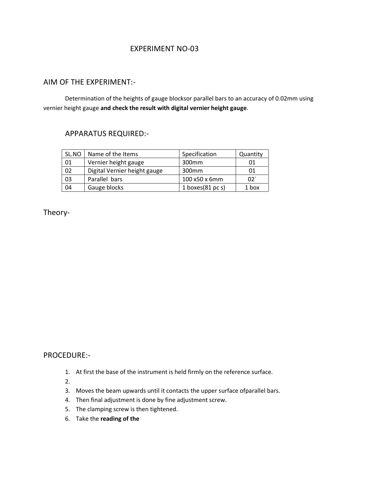## AIM OF THE EXPERIMENT:-

Determination of the heights of gauge blocksor parallel bars to an accuracy of 0.02mm using vernier height gauge **and check the result with digital vernier height gauge**.

## APPARATUS REQUIRED:-

| SL.NO | Name of the Items            | Specification               | Quantity |
|-------|------------------------------|-----------------------------|----------|
| 01    | Vernier height gauge         | 300 <sub>mm</sub>           | 01       |
| 02    | Digital Vernier height gauge | 300 <sub>mm</sub>           | 01       |
| 03    | Parallel bars                | 100 x50 x 6mm               | 02       |
| 04    | Gauge blocks                 | 1 boxes $(81 \text{ pc s})$ | 1 box    |

Theory-

## PROCEDURE:-

1. At first the base of the instrument is held firmly on the reference surface.

2.

- 3. Moves the beam upwards until it contacts the upper surface ofparallel bars.
- 4. Then final adjustment is done by fine adjustment screw.
- 5. The clamping screw is then tightened.
- 6. Take the **reading of the**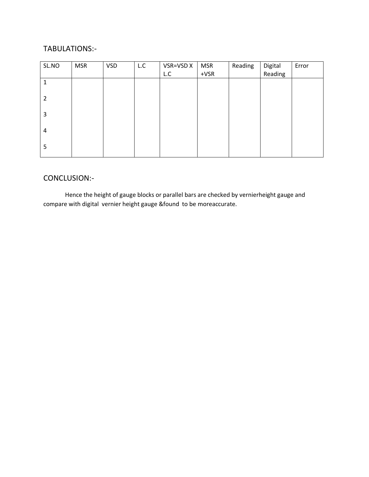# TABULATIONS:-

| SL.NO          | <b>MSR</b> | <b>VSD</b> | L.C | VSR=VSD X | <b>MSR</b> | Reading | Digital | Error |
|----------------|------------|------------|-----|-----------|------------|---------|---------|-------|
|                |            |            |     | L.C       | $+VSR$     |         | Reading |       |
| 1              |            |            |     |           |            |         |         |       |
| $\overline{2}$ |            |            |     |           |            |         |         |       |
| 3              |            |            |     |           |            |         |         |       |
| 4              |            |            |     |           |            |         |         |       |
| 5              |            |            |     |           |            |         |         |       |

# CONCLUSION:-

Hence the height of gauge blocks or parallel bars are checked by vernierheight gauge and compare with digital vernier height gauge &found to be moreaccurate.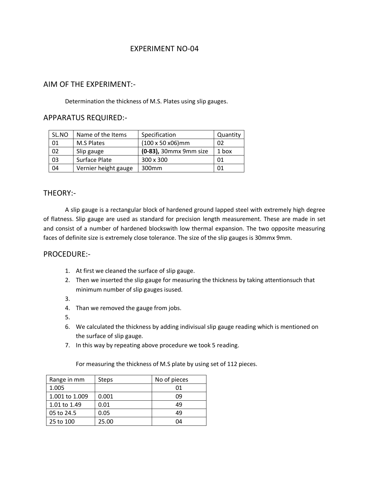## AIM OF THE EXPERIMENT:-

Determination the thickness of M.S. Plates using slip gauges.

# APPARATUS REQUIRED:-

| SL.NO | Name of the Items    | Specification          | Quantity |
|-------|----------------------|------------------------|----------|
| 01    | <b>M.S Plates</b>    | (100 x 50 x06)mm       | 02       |
| 02    | Slip gauge           | (0-83), 30mmx 9mm size | 1 box    |
| 03    | Surface Plate        | 300 x 300              | 01       |
| 04    | Vernier height gauge | 300 <sub>mm</sub>      |          |

## THEORY:-

A slip gauge is a rectangular block of hardened ground lapped steel with extremely high degree of flatness. Slip gauge are used as standard for precision length measurement. These are made in set and consist of a number of hardened blockswith low thermal expansion. The two opposite measuring faces of definite size is extremely close tolerance. The size of the slip gauges is 30mmx 9mm.

### PROCEDURE:-

- 1. At first we cleaned the surface of slip gauge.
- 2. Then we inserted the slip gauge for measuring the thickness by taking attentionsuch that minimum number of slip gauges isused.
- 3.
- 4. Than we removed the gauge from jobs.
- 5.
- 6. We calculated the thickness by adding indivisual slip gauge reading which is mentioned on the surface of slip gauge.
- 7. In this way by repeating above procedure we took 5 reading.

For measuring the thickness of M.S plate by using set of 112 pieces.

| Range in mm    | Steps | No of pieces |
|----------------|-------|--------------|
| 1.005          |       | 01           |
| 1.001 to 1.009 | 0.001 | n۹           |
| 1.01 to 1.49   | 0.01  | 49           |
| 05 to 24.5     | 0.05  | 49           |
| 25 to 100      | 25.00 | 04           |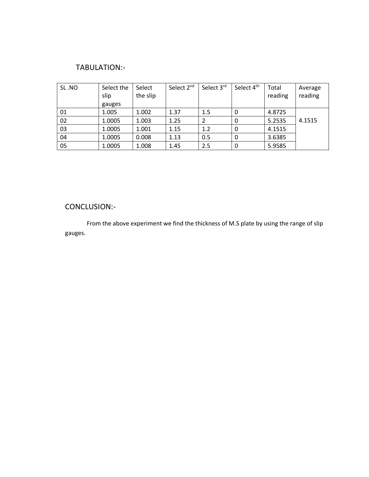# TABULATION:-

| SL.NO | Select the<br>slip | Select<br>the slip | Select 2 <sup>nd</sup> | Select 3rd | Select 4 <sup>th</sup> | Total<br>reading | Average<br>reading |
|-------|--------------------|--------------------|------------------------|------------|------------------------|------------------|--------------------|
|       | gauges             |                    |                        |            |                        |                  |                    |
| 01    | 1.005              | 1.002              | 1.37                   | 1.5        | 0                      | 4.8725           |                    |
| 02    | 1.0005             | 1.003              | 1.25                   | 2          | 0                      | 5.2535           | 4.1515             |
| 03    | 1.0005             | 1.001              | 1.15                   | 1.2        | 0                      | 4.1515           |                    |
| 04    | 1.0005             | 0.008              | 1.13                   | 0.5        | 0                      | 3.6385           |                    |
| 05    | 1.0005             | 1.008              | 1.45                   | 2.5        |                        | 5.9585           |                    |

# CONCLUSION:-

From the above experiment we find the thickness of M.S plate by using the range of slip gauges.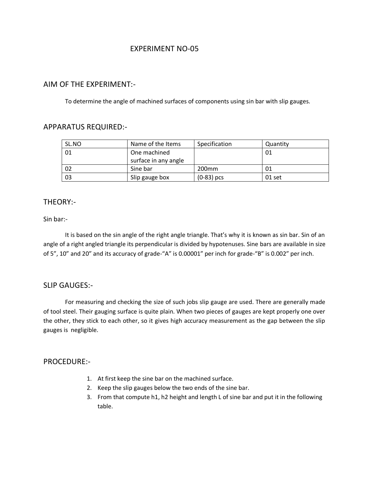## AIM OF THE EXPERIMENT:-

To determine the angle of machined surfaces of components using sin bar with slip gauges.

## APPARATUS REQUIRED:-

| SL.NO | Name of the Items    | Specification     | Quantity |
|-------|----------------------|-------------------|----------|
| -01   | One machined         |                   | 01       |
|       | surface in any angle |                   |          |
| 02    | Sine bar             | 200 <sub>mm</sub> | 01       |
| 03    | Slip gauge box       | $(0-83)$ pcs      | 01 set   |

## THEORY:-

#### Sin bar:-

It is based on the sin angle of the right angle triangle. That's why it is known as sin bar. Sin of an angle of a right angled triangle its perpendicular is divided by hypotenuses. Sine bars are available in size of 5", 10" and 20" and its accuracy of grade-"A" is 0.00001" per inch for grade-"B" is 0.002" per inch.

### SLIP GAUGES:-

For measuring and checking the size of such jobs slip gauge are used. There are generally made of tool steel. Their gauging surface is quite plain. When two pieces of gauges are kept properly one over the other, they stick to each other, so it gives high accuracy measurement as the gap between the slip gauges is negligible.

### PROCEDURE:-

- 1. At first keep the sine bar on the machined surface.
- 2. Keep the slip gauges below the two ends of the sine bar.
- 3. From that compute h1, h2 height and length L of sine bar and put it in the following table.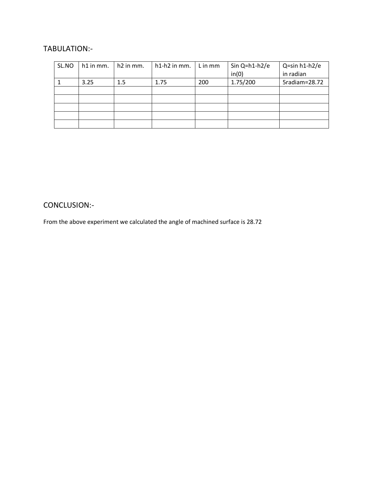# TABULATION:-

| SL.NO | h1 in mm. | h <sub>2</sub> in mm. | h1-h2 in mm. | L in mm | Sin $Q=h1-h2/e$<br>in(0) | Q=sin h1-h2/e<br>in radian |
|-------|-----------|-----------------------|--------------|---------|--------------------------|----------------------------|
|       |           |                       |              |         |                          |                            |
|       | 3.25      | 1.5                   | 1.75         | 200     | 1.75/200                 | 5radiam=28.72              |
|       |           |                       |              |         |                          |                            |
|       |           |                       |              |         |                          |                            |
|       |           |                       |              |         |                          |                            |
|       |           |                       |              |         |                          |                            |
|       |           |                       |              |         |                          |                            |

# CONCLUSION:-

From the above experiment we calculated the angle of machined surface is 28.72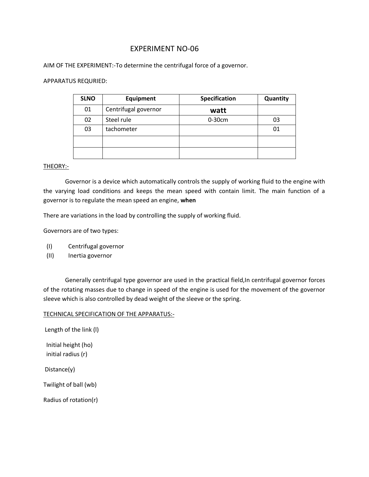AIM OF THE EXPERIMENT:-To determine the centrifugal force of a governor.

#### APPARATUS REQURIED:

| <b>SLNO</b> | Equipment            | <b>Specification</b> | Quantity |
|-------------|----------------------|----------------------|----------|
| 01          | Centrifugal governor | watt                 |          |
| 02          | Steel rule           | $0-30cm$             | 03       |
| 03          | tachometer           |                      | 01       |
|             |                      |                      |          |
|             |                      |                      |          |

#### THEORY:-

Governor is a device which automatically controls the supply of working fluid to the engine with the varying load conditions and keeps the mean speed with contain limit. The main function of a governor is to regulate the mean speed an engine, **when**

There are variations in the load by controlling the supply of working fluid.

Governors are of two types:

- (I) Centrifugal governor
- (II) Inertia governor

Generally centrifugal type governor are used in the practical field,In centrifugal governor forces of the rotating masses due to change in speed of the engine is used for the movement of the governor sleeve which is also controlled by dead weight of the sleeve or the spring.

#### TECHNICAL SPECIFICATION OF THE APPARATUS:-

Length of the link (l) Initial height (ho)

initial radius (r)

Distance(y)

Twilight of ball (wb)

Radius of rotation(r)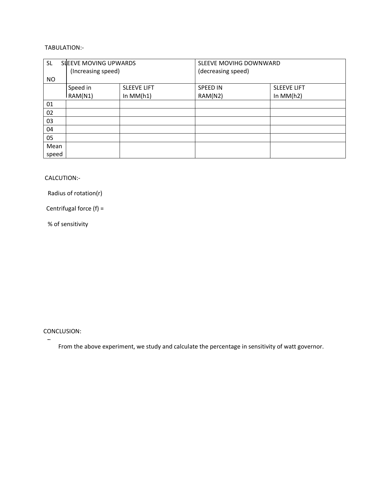### TABULATION:-

| <b>SL</b> | SLEEVE MOVING UPWARDS |                    | SLEEVE MOVIHG DOWNWARD |                    |
|-----------|-----------------------|--------------------|------------------------|--------------------|
|           | (Increasing speed)    |                    | (decreasing speed)     |                    |
| NO.       |                       |                    |                        |                    |
|           | Speed in              | <b>SLEEVE LIFT</b> | <b>SPEED IN</b>        | <b>SLEEVE LIFT</b> |
|           | RAM(N1)               | In $MM(h1)$        | RAM(N2)                | In $MM(h2)$        |
| 01        |                       |                    |                        |                    |
| 02        |                       |                    |                        |                    |
| 03        |                       |                    |                        |                    |
| 04        |                       |                    |                        |                    |
| 05        |                       |                    |                        |                    |
| Mean      |                       |                    |                        |                    |
| speed     |                       |                    |                        |                    |

#### CALCUTION:-

Radius of rotation(r)

Centrifugal force (f) =

% of sensitivity

#### CONCLUSION:

From the above experiment, we study and calculate the percentage in sensitivity of watt governor.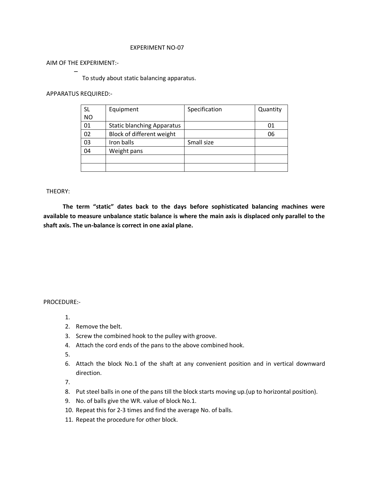AIM OF THE EXPERIMENT:-

To study about static balancing apparatus.

#### APPARATUS REQUIRED:-

| <b>SL</b> | Equipment                         | Specification | Quantity |
|-----------|-----------------------------------|---------------|----------|
| <b>NO</b> |                                   |               |          |
| 01        | <b>Static blanching Apparatus</b> |               | 01       |
| 02        | Block of different weight         |               | 06       |
| 03        | Iron balls                        | Small size    |          |
| 04        | Weight pans                       |               |          |
|           |                                   |               |          |
|           |                                   |               |          |

#### THEORY:

 **The term "static" dates back to the days before sophisticated balancing machines were available to measure unbalance static balance is where the main axis is displaced only parallel to the shaft axis. The un-balance is correct in one axial plane.**

#### PROCEDURE:-

- 1.
- 2. Remove the belt.
- 3. Screw the combined hook to the pulley with groove.
- 4. Attach the cord ends of the pans to the above combined hook.

5.

6. Attach the block No.1 of the shaft at any convenient position and in vertical downward direction.

7.

- 8. Put steel balls in one of the pans till the block starts moving up.(up to horizontal position).
- 9. No. of balls give the WR. value of block No.1.
- 10. Repeat this for 2-3 times and find the average No. of balls.
- 11. Repeat the procedure for other block.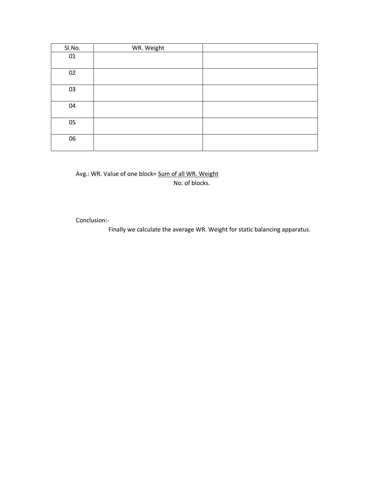| Sl.No. | WR. Weight |  |
|--------|------------|--|
| 01     |            |  |
| 02     |            |  |
| 03     |            |  |
| 04     |            |  |
| 05     |            |  |
| 06     |            |  |

## Avg.: WR. Value of one block= Sum of all WR. Weight No. of blocks.

Conclusion:-

Finally we calculate the average WR. Weight for static balancing apparatus.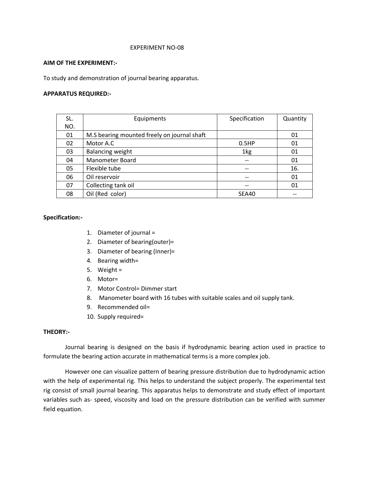#### **AIM OF THE EXPERIMENT:-**

To study and demonstration of journal bearing apparatus.

#### **APPARATUS REQUIRED:-**

| SL. | Equipments                                  | Specification | Quantity |
|-----|---------------------------------------------|---------------|----------|
| NO. |                                             |               |          |
| 01  | M.S bearing mounted freely on journal shaft |               | 01       |
| 02  | Motor A.C                                   | 0.5HP         | 01       |
| 03  | Balancing weight                            | 1kg           | 01       |
| 04  | Manometer Board                             |               | 01       |
| 05  | Flexible tube                               |               | 16.      |
| 06  | Oil reservoir                               |               | 01       |
| 07  | Collecting tank oil                         | --            | 01       |
| 08  | Oil (Red color)                             | SEA40         |          |

#### **Specification:-**

- 1. Diameter of journal =
- 2. Diameter of bearing(outer)=
- 3. Diameter of bearing (Inner)=
- 4. Bearing width=
- 5. Weight =
- 6. Motor=
- 7. Motor Control= Dimmer start
- 8. Manometer board with 16 tubes with suitable scales and oil supply tank.
- 9. Recommended oil=
- 10. Supply required=

#### **THEORY:-**

Journal bearing is designed on the basis if hydrodynamic bearing action used in practice to formulate the bearing action accurate in mathematical terms is a more complex job.

However one can visualize pattern of bearing pressure distribution due to hydrodynamic action with the help of experimental rig. This helps to understand the subject properly. The experimental test rig consist of small journal bearing. This apparatus helps to demonstrate and study effect of important variables such as- speed, viscosity and load on the pressure distribution can be verified with summer field equation.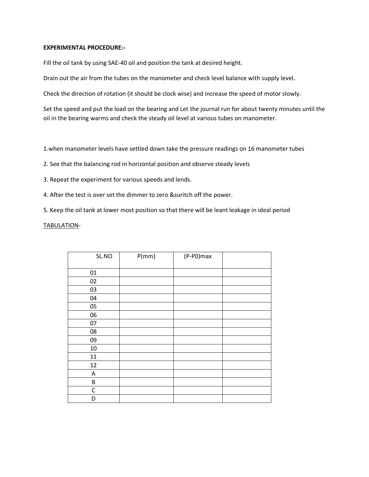#### **EXPERIMENTAL PROCEDURE:-**

Fill the oil tank by using SAE-40 oil and position the tank at desired height.

Drain out the air from the tubes on the manometer and check level balance with supply level.

Check the direction of rotation (it should be clock wise) and increase the speed of motor slowly.

Set the speed and put the load on the bearing and Let the journal run for about twenty minutes until the oil in the bearing warms and check the steady oil level at various tubes on manometer.

1.when manometer levels have settled down take the pressure readings on 16 manometer tubes

2. See that the balancing rod in horizontal position and observe steady levels

3. Repeat the experiment for various speeds and lends.

4. After the test is over set the dimmer to zero &suritch off the power.

5. Keep the oil tank at lower most position so that there will be leant leakage in ideal period

TABULATION-

| SL.NO       | P(mm) | (P-P0)max |  |
|-------------|-------|-----------|--|
|             |       |           |  |
| $01\,$      |       |           |  |
| 02          |       |           |  |
| 03          |       |           |  |
| 04          |       |           |  |
| 05          |       |           |  |
| 06          |       |           |  |
| 07          |       |           |  |
| ${\bf 08}$  |       |           |  |
| 09          |       |           |  |
| $10\,$      |       |           |  |
| $11\,$      |       |           |  |
| 12          |       |           |  |
| A           |       |           |  |
| B           |       |           |  |
| $\mathsf C$ |       |           |  |
| D           |       |           |  |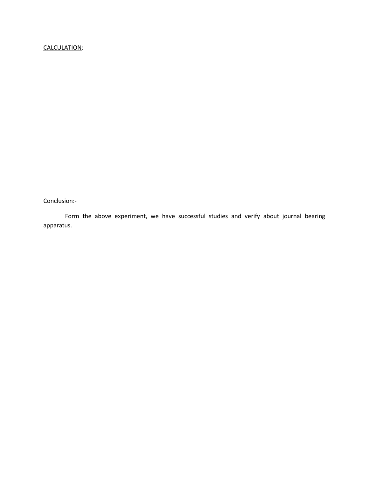# CALCULATION:-

Conclusion:-

Form the above experiment, we have successful studies and verify about journal bearing apparatus.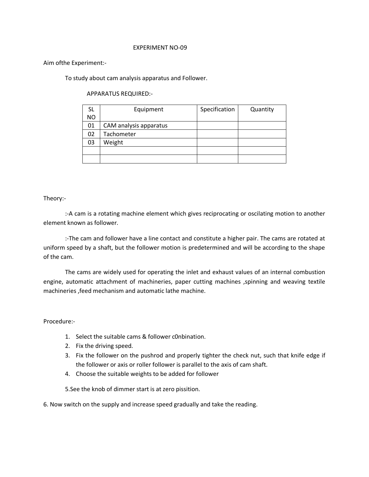#### Aim ofthe Experiment:-

To study about cam analysis apparatus and Follower.

APPARATUS REQUIRED:-

| SL  | Equipment              | Specification | Quantity |
|-----|------------------------|---------------|----------|
| NO. |                        |               |          |
| 01  | CAM analysis apparatus |               |          |
| 02  | Tachometer             |               |          |
| 03  | Weight                 |               |          |
|     |                        |               |          |
|     |                        |               |          |

#### Theory:-

:-A cam is a rotating machine element which gives reciprocating or oscilating motion to another element known as follower.

:-The cam and follower have a line contact and constitute a higher pair. The cams are rotated at uniform speed by a shaft, but the follower motion is predetermined and will be according to the shape of the cam.

The cams are widely used for operating the inlet and exhaust values of an internal combustion engine, automatic attachment of machineries, paper cutting machines , spinning and weaving textile machineries ,feed mechanism and automatic lathe machine.

#### Procedure:-

- 1. Select the suitable cams & follower c0nbination.
- 2. Fix the driving speed.
- 3. Fix the follower on the pushrod and properly tighter the check nut, such that knife edge if the follower or axis or roller follower is parallel to the axis of cam shaft.
- 4. Choose the suitable weights to be added for follower

5.See the knob of dimmer start is at zero pissition.

6. Now switch on the supply and increase speed gradually and take the reading.